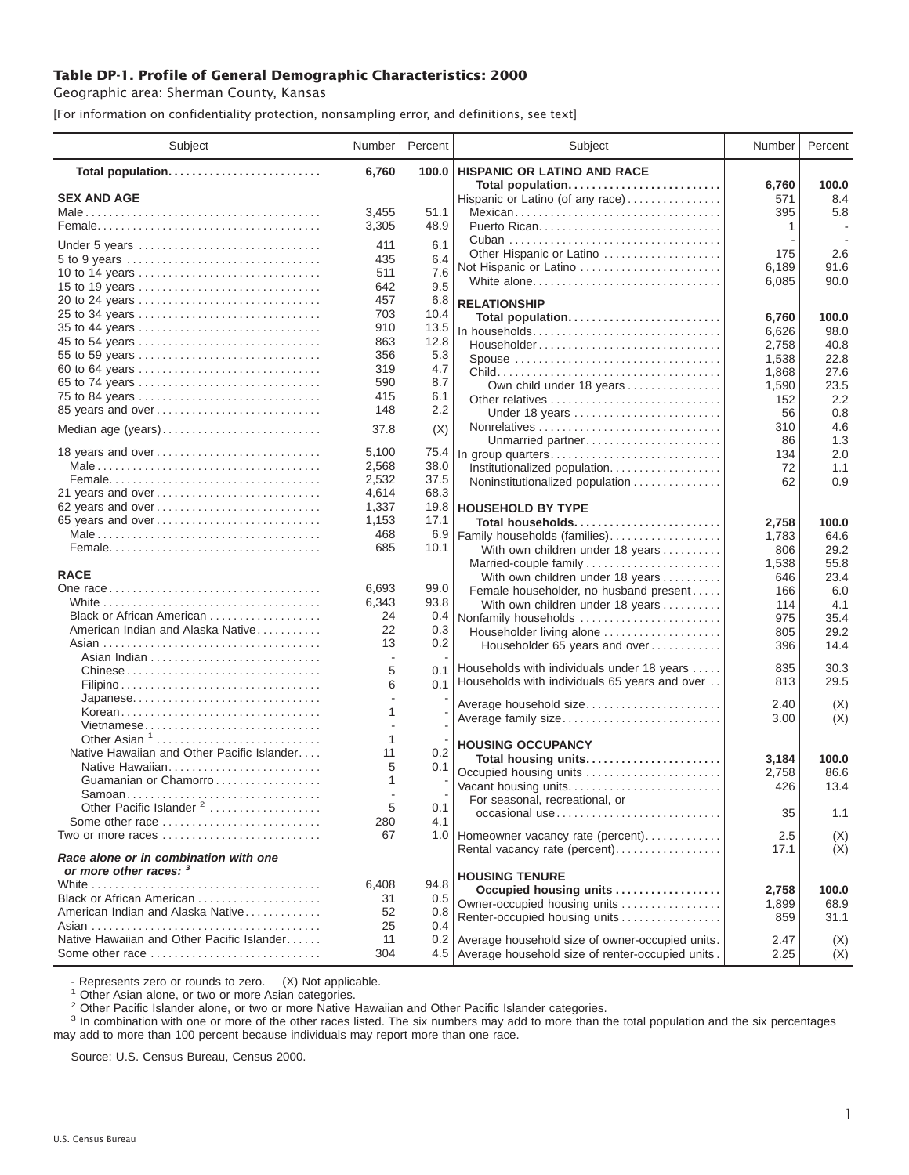## **Table DP-1. Profile of General Demographic Characteristics: 2000**

Geographic area: Sherman County, Kansas

[For information on confidentiality protection, nonsampling error, and definitions, see text]

| Subject                                                                 | Number      | Percent     | Subject                                                                         | Number       | Percent      |
|-------------------------------------------------------------------------|-------------|-------------|---------------------------------------------------------------------------------|--------------|--------------|
| Total population                                                        | 6,760       | 100.0       | <b>HISPANIC OR LATINO AND RACE</b>                                              |              |              |
| <b>SEX AND AGE</b>                                                      |             |             | Total population<br>Hispanic or Latino (of any race)                            | 6,760<br>571 | 100.0<br>8.4 |
|                                                                         | 3,455       | 51.1        | Mexican                                                                         | 395          | 5.8          |
|                                                                         | 3,305       | 48.9        |                                                                                 | 1            |              |
|                                                                         | 411         | 6.1         |                                                                                 |              |              |
| Under 5 years                                                           | 435         | 6.4         | Other Hispanic or Latino                                                        | 175          | 2.6          |
| 10 to 14 years                                                          | 511         | 7.6         | Not Hispanic or Latino                                                          | 6,189        | 91.6         |
| 15 to 19 years                                                          | 642         | 9.5         | White alone                                                                     | 6,085        | 90.0         |
|                                                                         | 457         | 6.8         | <b>RELATIONSHIP</b>                                                             |              |              |
| 25 to 34 years                                                          | 703         | 10.4        | Total population                                                                | 6,760        | 100.0        |
| 35 to 44 years                                                          | 910         | 13.5        | In households                                                                   | 6,626        | 98.0         |
| 45 to 54 years                                                          | 863         | 12.8        | $Householder \dots \dots \dots \dots \dots \dots \dots \dots \dots \dots \dots$ | 2,758        | 40.8         |
| 55 to 59 years                                                          | 356         | 5.3         | Spouse                                                                          | 1,538        | 22.8         |
| 60 to 64 years                                                          | 319         | 4.7         |                                                                                 | 1,868        | 27.6         |
| 65 to 74 years<br>75 to 84 years                                        | 590<br>415  | 8.7<br>6.1  | Own child under 18 years                                                        | 1,590        | 23.5         |
| 85 years and over                                                       | 148         | 2.2         |                                                                                 | 152          | 2.2<br>0.8   |
|                                                                         |             |             | Under 18 years                                                                  | 56<br>310    | 4.6          |
| Median age (years)                                                      | 37.8        | (X)         | Unmarried partner                                                               | 86           | 1.3          |
| 18 years and over                                                       | 5,100       | 75.4        | In group quarters                                                               | 134          | 2.0          |
|                                                                         | 2,568       | 38.0        | Institutionalized population                                                    | 72           | 1.1          |
|                                                                         | 2,532       | 37.5        | Noninstitutionalized population                                                 | 62           | 0.9          |
| 21 years and over                                                       | 4,614       | 68.3        |                                                                                 |              |              |
| 62 years and over                                                       | 1,337       | 19.8        | <b>HOUSEHOLD BY TYPE</b>                                                        |              |              |
| 65 years and over                                                       | 1,153       | 17.1        | Total households                                                                | 2,758        | 100.0        |
|                                                                         | 468<br>685  | 6.9<br>10.1 | Family households (families)                                                    | 1,783        | 64.6         |
|                                                                         |             |             | With own children under 18 years                                                | 806<br>1,538 | 29.2<br>55.8 |
| <b>RACE</b>                                                             |             |             | Married-couple family<br>With own children under 18 years                       | 646          | 23.4         |
|                                                                         | 6,693       | 99.0        | Female householder, no husband present                                          | 166          | 6.0          |
|                                                                         | 6,343       | 93.8        | With own children under 18 years                                                | 114          | 4.1          |
| Black or African American                                               | 24          | 0.4         | Nonfamily households                                                            | 975          | 35.4         |
| American Indian and Alaska Native                                       | 22          | 0.3         | Householder living alone                                                        | 805          | 29.2         |
|                                                                         | 13          | 0.2         | Householder 65 years and over                                                   | 396          | 14.4         |
|                                                                         | 5           | 0.1         | Households with individuals under 18 years                                      | 835          | 30.3         |
| Chinese                                                                 | 6           | 0.1         | Households with individuals 65 years and over                                   | 813          | 29.5         |
| Japanese                                                                |             |             |                                                                                 |              |              |
| Korean                                                                  | 1           |             | Average household size                                                          | 2.40         | (X)          |
| Vietnamese                                                              |             |             | Average family size                                                             | 3.00         | (X)          |
| Other Asian $1, \ldots, \ldots, \ldots, \ldots, \ldots, \ldots, \ldots$ | 1           |             | <b>HOUSING OCCUPANCY</b>                                                        |              |              |
| Native Hawaiian and Other Pacific Islander                              | 11          | 0.2         | Total housing units                                                             | 3,184        | 100.0        |
| Native Hawaiian                                                         | 5           | 0.1         | Occupied housing units                                                          | 2,758        | 86.6         |
| Guamanian or Chamorro                                                   | 1           |             | Vacant housing units                                                            | 426          | 13.4         |
| Samoan<br>Other Pacific Islander <sup>2</sup>                           | 5           | 0.1         | For seasonal, recreational, or                                                  |              |              |
| Some other race $\ldots, \ldots, \ldots, \ldots, \ldots, \ldots$        | 280         | 4.1         | occasional use                                                                  | 35           | 1.1          |
| Two or more races                                                       | 67          |             | 1.0 Homeowner vacancy rate (percent)                                            | 2.5          | (X)          |
|                                                                         |             |             | Rental vacancy rate (percent)                                                   | 17.1         | (X)          |
| Race alone or in combination with one                                   |             |             |                                                                                 |              |              |
| or more other races: 3                                                  |             |             | <b>HOUSING TENURE</b>                                                           |              |              |
| Black or African American                                               | 6,408<br>31 | 94.8<br>0.5 | Occupied housing units                                                          | 2,758        | 100.0        |
| American Indian and Alaska Native                                       | 52          | 0.8         | Owner-occupied housing units                                                    | 1,899        | 68.9         |
|                                                                         | 25          | 0.4         | Renter-occupied housing units                                                   | 859          | 31.1         |
| Native Hawaiian and Other Pacific Islander                              | 11          | 0.2         | Average household size of owner-occupied units.                                 | 2.47         | (X)          |
| Some other race                                                         | 304         |             | 4.5 Average household size of renter-occupied units.                            | 2.25         | (X)          |

- Represents zero or rounds to zero. (X) Not applicable.<br><sup>1</sup> Other Asian alone, or two or more Asian categories.

<sup>2</sup> Other Pacific Islander alone, or two or more Native Hawaiian and Other Pacific Islander categories.<br><sup>3</sup> In combination with one or more of the other races listed. The six numbers may add to more than the total populati may add to more than 100 percent because individuals may report more than one race.

Source: U.S. Census Bureau, Census 2000.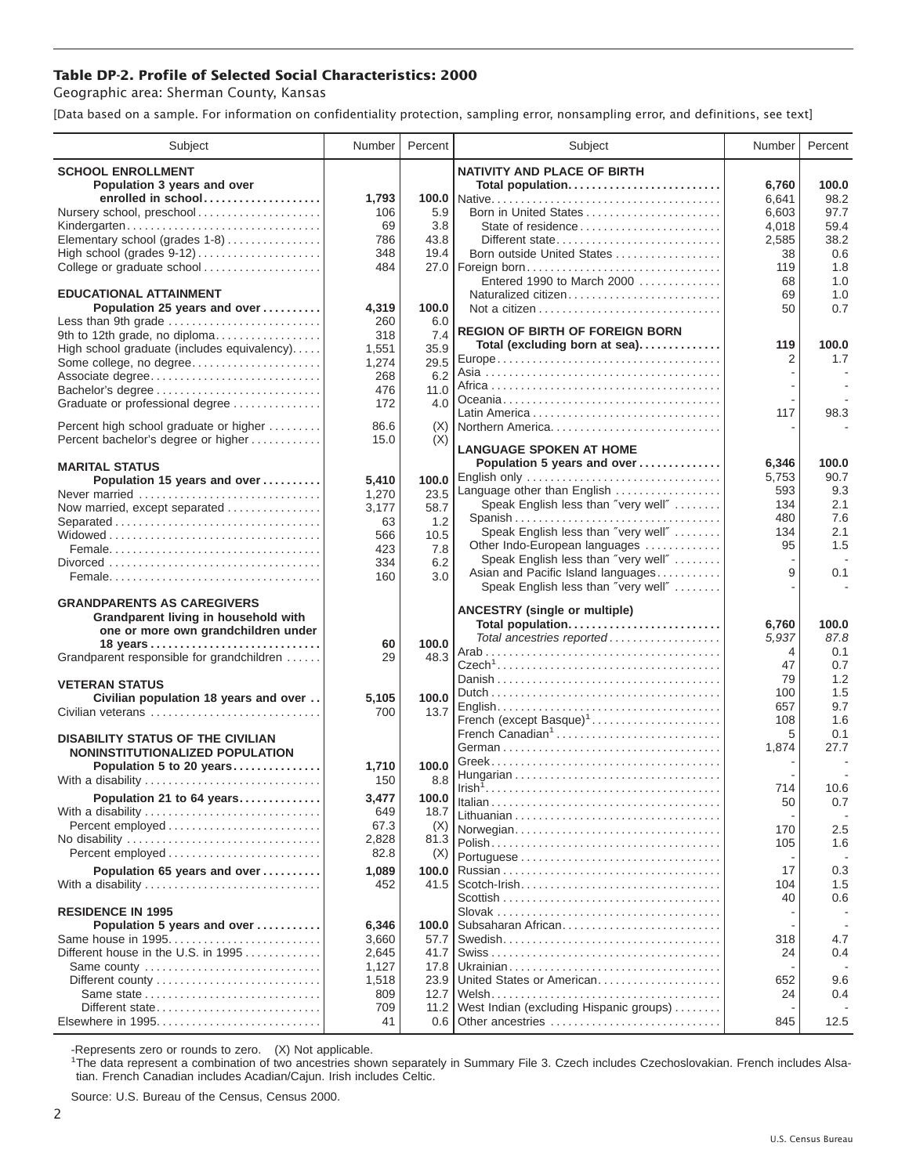## **Table DP-2. Profile of Selected Social Characteristics: 2000**

Geographic area: Sherman County, Kansas

[Data based on a sample. For information on confidentiality protection, sampling error, nonsampling error, and definitions, see text]

| Subject                                       | Number        | Percent     | Subject                                                            | Number     | Percent    |
|-----------------------------------------------|---------------|-------------|--------------------------------------------------------------------|------------|------------|
| <b>SCHOOL ENROLLMENT</b>                      |               |             | <b>NATIVITY AND PLACE OF BIRTH</b>                                 |            |            |
| Population 3 years and over                   |               |             | Total population                                                   | 6,760      | 100.0      |
| enrolled in school                            | 1,793         | 100.0       |                                                                    | 6,641      | 98.2       |
| Nursery school, preschool                     | 106           | 5.9         | Born in United States                                              | 6,603      | 97.7       |
| Kindergarten                                  | 69            | 3.8         | State of residence                                                 | 4,018      | 59.4       |
| Elementary school (grades 1-8)                | 786           | 43.8        | Different state                                                    | 2,585      | 38.2       |
| High school (grades 9-12)                     | 348           | 19.4        | Born outside United States                                         | 38         | 0.6        |
| College or graduate school                    | 484           |             | 27.0   Foreign born                                                | 119        | 1.8        |
|                                               |               |             | Entered 1990 to March 2000                                         | 68         | 1.0        |
| <b>EDUCATIONAL ATTAINMENT</b>                 |               |             | Naturalized citizen                                                | 69         | 1.0        |
| Population 25 years and over                  | 4,319         | 100.0       |                                                                    | 50         | 0.7        |
| Less than 9th grade                           | 260           | 6.0         | <b>REGION OF BIRTH OF FOREIGN BORN</b>                             |            |            |
| 9th to 12th grade, no diploma                 | 318           | 7.4         | Total (excluding born at sea)                                      | 119        | 100.0      |
| High school graduate (includes equivalency)   | 1,551         | 35.9        |                                                                    | 2          | 1.7        |
| Some college, no degree                       | 1,274         | 29.5<br>6.2 |                                                                    |            |            |
| Associate degree<br>Bachelor's degree         | 268<br>476    | 11.0        |                                                                    |            |            |
|                                               | 172           | 4.0         |                                                                    |            |            |
| Graduate or professional degree               |               |             |                                                                    | 117        | 98.3       |
| Percent high school graduate or higher        | 86.6          | (X)         | Northern America                                                   |            |            |
| Percent bachelor's degree or higher           | 15.0          | (X)         |                                                                    |            |            |
|                                               |               |             | <b>LANGUAGE SPOKEN AT HOME</b>                                     |            |            |
| <b>MARITAL STATUS</b>                         |               |             | Population 5 years and over                                        | 6,346      | 100.0      |
| Population 15 years and over                  | 5,410         | 100.0       | English only                                                       | 5,753      | 90.7       |
| Never married                                 | 1,270         | 23.5        | Language other than English<br>Speak English less than "very well" | 593<br>134 | 9.3<br>2.1 |
| Now married, except separated                 | 3.177         | 58.7        | Spanish                                                            | 480        | 7.6        |
| Separated                                     | 63            | 1.2         | Speak English less than "very well"                                | 134        | 2.1        |
|                                               | 566           | 10.5        | Other Indo-European languages                                      | 95         | 1.5        |
|                                               | 423           | 7.8         | Speak English less than "very well"                                |            |            |
|                                               | 334           | 6.2         | Asian and Pacific Island languages                                 | 9          | 0.1        |
|                                               | 160           | 3.0         | Speak English less than "very well"                                |            |            |
| <b>GRANDPARENTS AS CAREGIVERS</b>             |               |             |                                                                    |            |            |
| Grandparent living in household with          |               |             | <b>ANCESTRY (single or multiple)</b>                               |            |            |
| one or more own grandchildren under           |               |             | Total population                                                   | 6,760      | 100.0      |
| 18 years                                      | 60            | 100.0       | Total ancestries reported                                          | 5,937      | 87.8       |
| Grandparent responsible for grandchildren     | 29            | 48.3        |                                                                    | 4<br>47    | 0.1<br>0.7 |
|                                               |               |             |                                                                    | 79         | 1.2        |
| <b>VETERAN STATUS</b>                         |               |             |                                                                    | 100        | 1.5        |
| Civilian population 18 years and over         | 5,105         | 100.0       |                                                                    | 657        | 9.7        |
| Civilian veterans                             | 700           | 13.7        | French (except Basque) <sup>1</sup>                                | 108        | 1.6        |
|                                               |               |             | French Canadian <sup>1</sup>                                       | 5          | 0.1        |
| <b>DISABILITY STATUS OF THE CIVILIAN</b>      |               |             |                                                                    | 1,874      | 27.7       |
| NONINSTITUTIONALIZED POPULATION               |               | 100.0       |                                                                    |            |            |
| Population 5 to 20 years<br>With a disability | 1,710<br>150  | 8.8         |                                                                    |            |            |
|                                               |               |             |                                                                    | 714        | 10.6       |
| Population 21 to 64 years                     | 3,477         | 100.0       |                                                                    | 50         | 0.7        |
| With a disability                             | 649           | 18.7        |                                                                    |            |            |
|                                               | 67.3          | (X)         | Norwegian                                                          | 170        | 2.5        |
| No disability                                 | 2,828<br>82.8 | 81.3        |                                                                    | 105        | 1.6        |
|                                               |               | (X)         |                                                                    |            |            |
| Population 65 years and over                  | 1,089         | 100.0       |                                                                    | 17         | 0.3        |
| With a disability                             | 452           | 41.5        |                                                                    | 104        | 1.5        |
| <b>RESIDENCE IN 1995</b>                      |               |             |                                                                    | 40         | 0.6        |
| Population 5 years and over                   | 6,346         | 100.0       | Subsaharan African                                                 |            |            |
| Same house in 1995                            | 3,660         | 57.7        |                                                                    | 318        | 4.7        |
| Different house in the U.S. in 1995           | 2,645         | 41.7        |                                                                    | 24         | 0.4        |
| Same county                                   | 1,127         | 17.8        |                                                                    |            |            |
| Different county                              | 1,518         | 23.9        | United States or American                                          | 652        | 9.6        |
| Same state                                    | 809           | 12.7        |                                                                    | 24         | 0.4        |
| Different state                               | 709           | 11.2        | West Indian (excluding Hispanic groups)                            |            |            |
|                                               | 41            | 0.6         | Other ancestries                                                   | 845        | 12.5       |
|                                               |               |             |                                                                    |            |            |

-Represents zero or rounds to zero. (X) Not applicable. 1 The data represent a combination of two ancestries shown separately in Summary File 3. Czech includes Czechoslovakian. French includes Alsatian. French Canadian includes Acadian/Cajun. Irish includes Celtic.

Source: U.S. Bureau of the Census, Census 2000.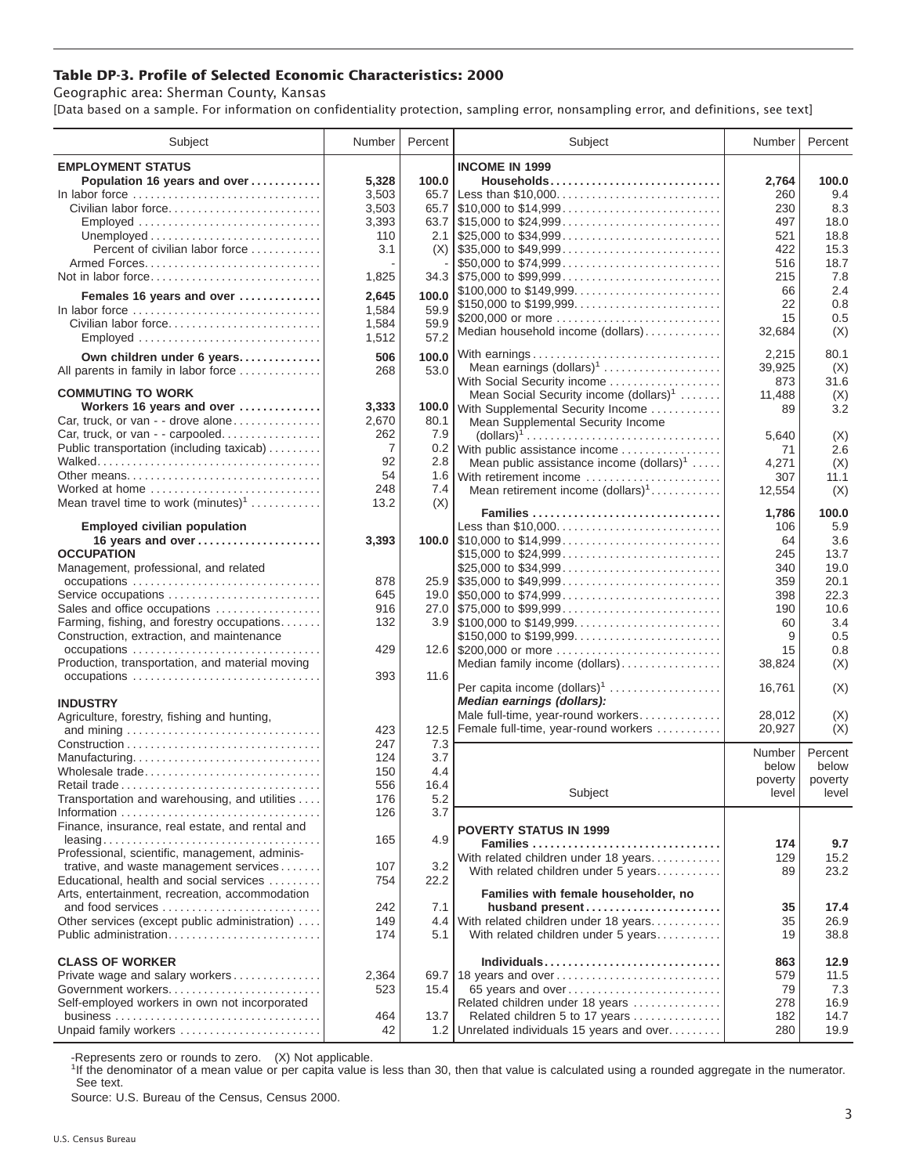## **Table DP-3. Profile of Selected Economic Characteristics: 2000**

Geographic area: Sherman County, Kansas

[Data based on a sample. For information on confidentiality protection, sampling error, nonsampling error, and definitions, see text]

| Subject                                         | Number | Percent | Subject                                                                           | Number          | Percent          |
|-------------------------------------------------|--------|---------|-----------------------------------------------------------------------------------|-----------------|------------------|
| <b>EMPLOYMENT STATUS</b>                        |        |         | <b>INCOME IN 1999</b>                                                             |                 |                  |
| Population 16 years and over                    | 5,328  | 100.0   | Households                                                                        | 2,764           | 100.0            |
| In labor force                                  | 3,503  | 65.7    | Less than \$10,000                                                                | 260             | 9.4              |
| Civilian labor force                            | 3,503  | 65.7    | $\frac{1}{2}10,000$ to \$14,999                                                   | 230             | 8.3              |
| Employed                                        | 3,393  |         |                                                                                   | 497             | 18.0             |
|                                                 | 110    |         | 2.1 $$25,000 \text{ to } $34,999 \dots \dots \dots \dots \dots \dots \dots \dots$ | 521             | 18.8             |
| Percent of civilian labor force                 | 3.1    | (X)     | $\frac{1}{2}$ \$35,000 to \$49,999                                                | 422             | 15.3             |
|                                                 |        |         | \$50,000 to \$74,999                                                              | 516             | 18.7             |
| Not in labor force                              | 1,825  |         | $34.3$ \\ \$75,000 to \$99,999                                                    | 215             | 7.8              |
|                                                 |        |         | \$100,000 to \$149,999                                                            | 66              | 2.4              |
| Females 16 years and over                       | 2,645  | 100.0   | \$150,000 to \$199,999                                                            | 22              | 0.8              |
| In labor force                                  | 1,584  | 59.9    | \$200,000 or more                                                                 |                 |                  |
| Civilian labor force                            | 1,584  | 59.9    | Median household income (dollars)                                                 | 15              | 0.5              |
| Employed                                        | 1,512  | 57.2    |                                                                                   | 32,684          | (X)              |
| Own children under 6 years                      | 506    | 100.0   | With earnings                                                                     | 2,215           | 80.1             |
| All parents in family in labor force            | 268    | 53.0    | Mean earnings (dollars) <sup>1</sup>                                              | 39,925          | (X)              |
|                                                 |        |         | With Social Security income                                                       | 873             | 31.6             |
| <b>COMMUTING TO WORK</b>                        |        |         | Mean Social Security income (dollars) <sup>1</sup>                                | 11,488          | (X)              |
| Workers 16 years and over                       | 3,333  |         | 100.0 With Supplemental Security Income                                           | 89              | 3.2              |
| Car, truck, or van - - drove alone              | 2,670  | 80.1    | Mean Supplemental Security Income                                                 |                 |                  |
| Car, truck, or van - - carpooled                | 262    | 7.9     |                                                                                   | 5,640           | (X)              |
| Public transportation (including taxicab)       | 7      | 0.2     | With public assistance income                                                     | 71              | 2.6              |
|                                                 | 92     | 2.8     | Mean public assistance income $(dollars)1 \ldots$ .                               | 4,271           | (X)              |
| Other means                                     | 54     | 1.6     | With retirement income                                                            | 307             | 11.1             |
| Worked at home                                  | 248    | 7.4     | Mean retirement income $(dollars)1$                                               | 12,554          | (X)              |
| Mean travel time to work $(minutes)^1$          | 13.2   | (X)     |                                                                                   |                 |                  |
|                                                 |        |         | Families                                                                          | 1,786           | 100.0            |
| <b>Employed civilian population</b>             |        |         | Less than \$10,000                                                                | 106             | 5.9              |
| 16 years and over                               | 3,393  |         |                                                                                   | 64              | 3.6              |
| <b>OCCUPATION</b>                               |        |         | \$15,000 to \$24,999                                                              | 245             | 13.7             |
| Management, professional, and related           |        |         | \$25,000 to \$34,999                                                              | 340             | 19.0             |
|                                                 | 878    |         | $25.9$ \\$35,000 to \$49,999                                                      | 359             | 20.1             |
| Service occupations                             | 645    |         |                                                                                   | 398             | 22.3             |
| Sales and office occupations                    | 916    |         |                                                                                   | 190             | 10.6             |
| Farming, fishing, and forestry occupations      | 132    |         |                                                                                   | 60              | 3.4              |
| Construction, extraction, and maintenance       |        |         | \$150,000 to \$199,999                                                            | 9               | 0.5              |
| occupations                                     | 429    |         | 12.6 \$200,000 or more                                                            | 15              | 0.8              |
| Production, transportation, and material moving |        |         | Median family income (dollars)                                                    | 38,824          | (X)              |
|                                                 | 393    | 11.6    |                                                                                   |                 |                  |
|                                                 |        |         | Per capita income $(dollars)1$                                                    | 16,761          | (X)              |
| <b>INDUSTRY</b>                                 |        |         | Median earnings (dollars):                                                        |                 |                  |
| Agriculture, forestry, fishing and hunting,     |        |         | Male full-time, year-round workers                                                | 28,012          | (X)              |
|                                                 | 423    | 12.5    | Female full-time, year-round workers                                              | 20,927          | (X)              |
|                                                 | 247    | 7.3     |                                                                                   |                 |                  |
| Manufacturing                                   | 124    | 3.7     |                                                                                   | Number<br>below | Percent<br>below |
| Wholesale trade                                 | 150    | 4.4     |                                                                                   | poverty         | poverty          |
|                                                 | 556    | 16.4    | Subject                                                                           | level           | level            |
| Transportation and warehousing, and utilities   | 176    | 5.2     |                                                                                   |                 |                  |
|                                                 | 126    | 3.7     |                                                                                   |                 |                  |
| Finance, insurance, real estate, and rental and |        |         | <b>POVERTY STATUS IN 1999</b>                                                     |                 |                  |
|                                                 | 165    | 4.9     | Families                                                                          | 174             | 9.7              |
| Professional, scientific, management, adminis-  |        |         | With related children under 18 years                                              | 129             | 15.2             |
| trative, and waste management services          | 107    | 3.2     | With related children under 5 years                                               | 89              | 23.2             |
| Educational, health and social services         | 754    | 22.2    |                                                                                   |                 |                  |
| Arts, entertainment, recreation, accommodation  |        |         | Families with female householder, no                                              |                 |                  |
| and food services                               | 242    | 7.1     | husband present                                                                   | 35              | 17.4             |
| Other services (except public administration)   | 149    | 4.4     | With related children under 18 years                                              | 35              | 26.9             |
| Public administration                           | 174    | 5.1     | With related children under 5 years                                               | 19              | 38.8             |
|                                                 |        |         |                                                                                   |                 |                  |
| <b>CLASS OF WORKER</b>                          |        |         | Individuals                                                                       | 863             | 12.9             |
| Private wage and salary workers                 | 2,364  |         | 69.7   18 years and over                                                          | 579             | 11.5             |
| Government workers                              | 523    | 15.4    | 65 years and over                                                                 | 79              | 7.3              |
| Self-employed workers in own not incorporated   |        |         | Related children under 18 years                                                   | 278             | 16.9             |
|                                                 | 464    | 13.7    | Related children 5 to 17 years                                                    | 182             | 14.7             |
| Unpaid family workers                           | 42     | 1.2     | Unrelated individuals 15 years and over                                           | 280             | 19.9             |

-Represents zero or rounds to zero. (X) Not applicable.

<sup>1</sup>If the denominator of a mean value or per capita value is less than 30, then that value is calculated using a rounded aggregate in the numerator. See text.

Source: U.S. Bureau of the Census, Census 2000.